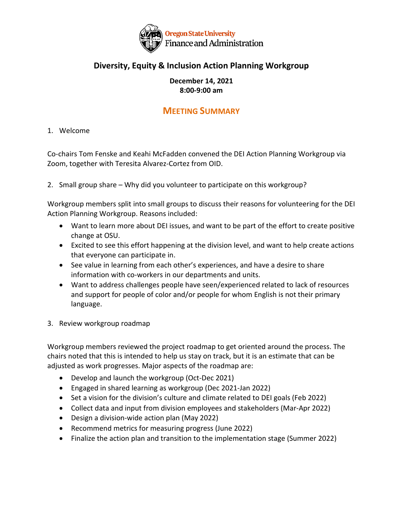

## **Diversity, Equity & Inclusion Action Planning Workgroup**

## **December 14, 2021 8:00-9:00 am**

## **MEETING SUMMARY**

1. Welcome

Co-chairs Tom Fenske and Keahi McFadden convened the DEI Action Planning Workgroup via Zoom, together with Teresita Alvarez-Cortez from OID.

2. Small group share – Why did you volunteer to participate on this workgroup?

Workgroup members split into small groups to discuss their reasons for volunteering for the DEI Action Planning Workgroup. Reasons included:

- Want to learn more about DEI issues, and want to be part of the effort to create positive change at OSU.
- Excited to see this effort happening at the division level, and want to help create actions that everyone can participate in.
- See value in learning from each other's experiences, and have a desire to share information with co-workers in our departments and units.
- Want to address challenges people have seen/experienced related to lack of resources and support for people of color and/or people for whom English is not their primary language.
- 3. Review workgroup roadmap

Workgroup members reviewed the project roadmap to get oriented around the process. The chairs noted that this is intended to help us stay on track, but it is an estimate that can be adjusted as work progresses. Major aspects of the roadmap are:

- Develop and launch the workgroup (Oct-Dec 2021)
- Engaged in shared learning as workgroup (Dec 2021-Jan 2022)
- Set a vision for the division's culture and climate related to DEI goals (Feb 2022)
- Collect data and input from division employees and stakeholders (Mar-Apr 2022)
- Design a division-wide action plan (May 2022)
- Recommend metrics for measuring progress (June 2022)
- Finalize the action plan and transition to the implementation stage (Summer 2022)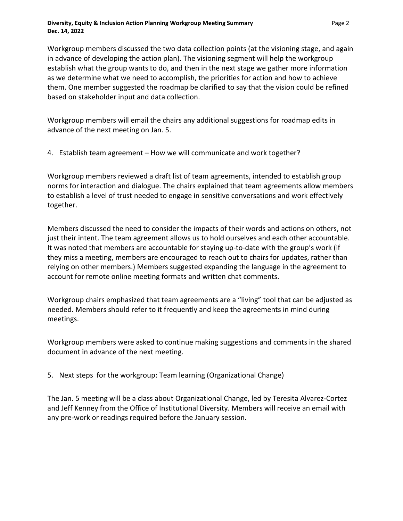Workgroup members discussed the two data collection points (at the visioning stage, and again in advance of developing the action plan). The visioning segment will help the workgroup establish what the group wants to do, and then in the next stage we gather more information as we determine what we need to accomplish, the priorities for action and how to achieve them. One member suggested the roadmap be clarified to say that the vision could be refined based on stakeholder input and data collection.

Workgroup members will email the chairs any additional suggestions for roadmap edits in advance of the next meeting on Jan. 5.

4. Establish team agreement – How we will communicate and work together?

Workgroup members reviewed a draft list of team agreements, intended to establish group norms for interaction and dialogue. The chairs explained that team agreements allow members to establish a level of trust needed to engage in sensitive conversations and work effectively together.

Members discussed the need to consider the impacts of their words and actions on others, not just their intent. The team agreement allows us to hold ourselves and each other accountable. It was noted that members are accountable for staying up-to-date with the group's work (if they miss a meeting, members are encouraged to reach out to chairs for updates, rather than relying on other members.) Members suggested expanding the language in the agreement to account for remote online meeting formats and written chat comments.

Workgroup chairs emphasized that team agreements are a "living" tool that can be adjusted as needed. Members should refer to it frequently and keep the agreements in mind during meetings.

Workgroup members were asked to continue making suggestions and comments in the shared document in advance of the next meeting.

5. Next steps for the workgroup: Team learning (Organizational Change)

The Jan. 5 meeting will be a class about Organizational Change, led by Teresita Alvarez-Cortez and Jeff Kenney from the Office of Institutional Diversity. Members will receive an email with any pre-work or readings required before the January session.